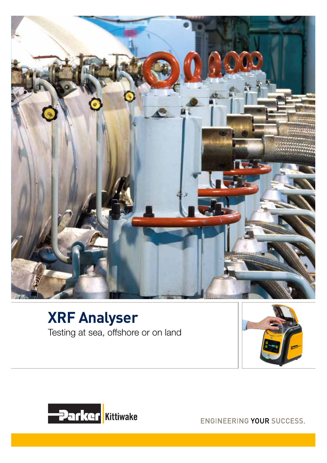

#### **XRF Analyser** Testing at sea, offshore or on land





ENGINEERING YOUR SUCCESS.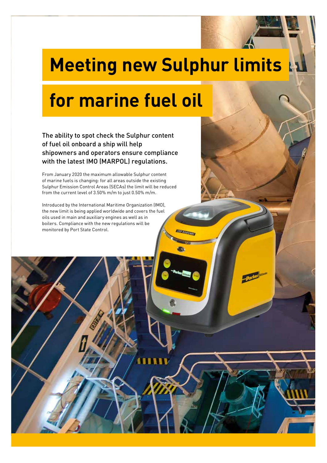# **Meeting new Sulphur limits**

# **for marine fuel oil**

The ability to spot check the Sulphur content of fuel oil onboard a ship will help shipowners and operators ensure compliance with the latest IMO (MARPOL) regulations.

From January 2020 the maximum allowable Sulphur content of marine fuels is changing: for all areas outside the existing Sulphur Emission Control Areas (SECAs) the limit will be reduced from the current level of 3.50% m/m to just 0.50% m/m.

Introduced by the International Maritime Organization (IMO), the new limit is being applied worldwide and covers the fuel oils used in main and auxiliary engines as well as in boilers. Compliance with the new regulations will be monitored by Port State Control.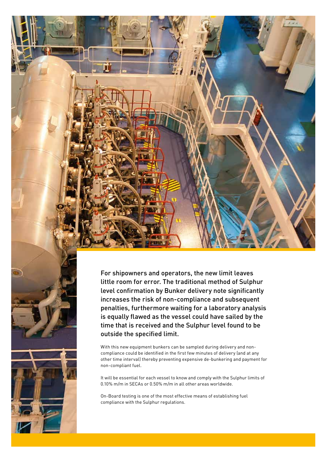

For shipowners and operators, the new limit leaves little room for error. The traditional method of Sulphur level confirmation by Bunker delivery note significantly increases the risk of non-compliance and subsequent penalties, furthermore waiting for a laboratory analysis is equally flawed as the vessel could have sailed by the time that is received and the Sulphur level found to be outside the specified limit.

With this new equipment bunkers can be sampled during delivery and noncompliance could be identified in the first few minutes of delivery (and at any other time interval) thereby preventing expensive de-bunkering and payment for non-compliant fuel.

It will be essential for each vessel to know and comply with the Sulphur limits of 0.10% m/m in SECAs or 0.50% m/m in all other areas worldwide.

On-Board testing is one of the most effective means of establishing fuel compliance with the Sulphur regulations.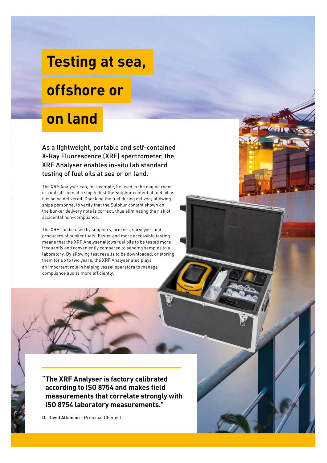## **Testing at sea,**

#### **offshore or**

## **on land**

As a lightweight, portable and self-contained X-Ray Fluorescence (XRF) spectrometer, the XRF Analyser enables in-situ lab standard testing of fuel oils at sea or on land.

The XRF Analyser can, for example, be used in the engine room or control room of a ship to test the Sulphur content of fuel oil as it is being delivered. Checking the fuel during delivery allowing ships personnel to verify that the Sulphur content shown on the bunker delivery note is correct, thus eliminating the risk of accidental non-compliance.

The XRF can be used by suppliers, brokers, surveyors and producers of bunker fuels. Faster and more accessible testing means that the XRF Analyser allows fuel oils to be tested more frequently and conveniently compared to sending samples to a laboratory. By allowing test results to be downloaded, or storing them for up to two years, the XRF Analyser also plays an important role in helping vessel operators to manage compliance audits more efficiently.

**"The XRF Analyser is factory calibrated according to ISO 8754 and makes field measurements that correlate strongly with ISO 8754 laboratory measurements."** 

Dr David Atkinson - Principal Chemist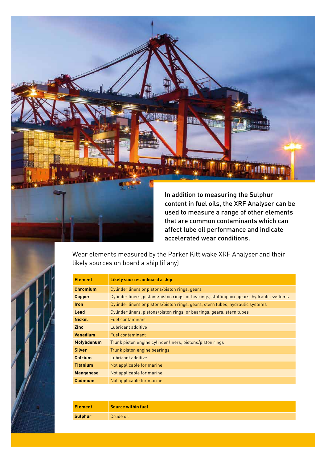

accelerated wear conditions. Wear elements measured by the Parker Kittiwake XRF Analyser and their likely sources on board a ship (if any)

| <b>Element</b>    | Likely sources onboard a ship                                                              |
|-------------------|--------------------------------------------------------------------------------------------|
| <b>Chromium</b>   | Cylinder liners or pistons/piston rings, gears                                             |
| Copper            | Cylinder liners, pistons/piston rings, or bearings, stuffing box, gears, hydraulic systems |
| <b>Iron</b>       | Cylinder liners or pistons/piston rings, gears, stern tubes, hydraulic systems             |
| Lead              | Cylinder liners, pistons/piston rings, or bearings, gears, stern tubes                     |
| <b>Nickel</b>     | <b>Fuel contaminant</b>                                                                    |
| <b>Zinc</b>       | Lubricant additive                                                                         |
| Vanadium          | Fuel contaminant                                                                           |
| <b>Molybdenum</b> | Trunk piston engine cylinder liners, pistons/piston rings                                  |
| <b>Silver</b>     | Trunk piston engine bearings                                                               |
| <b>Calcium</b>    | Lubricant additive                                                                         |
| <b>Titanium</b>   | Not applicable for marine                                                                  |
| <b>Manganese</b>  | Not applicable for marine                                                                  |
| Cadmium           | Not applicable for marine                                                                  |

| <b>Element</b> | <b>Source within fuel</b> |
|----------------|---------------------------|
| <b>Sulphur</b> | Crude oil                 |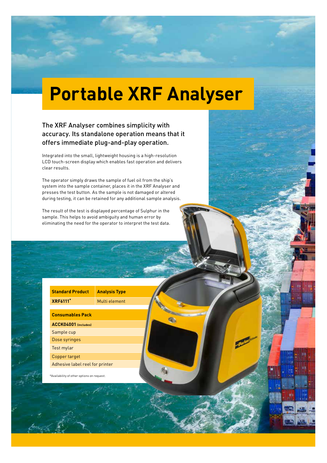# **Portable XRF Analyser**

#### The XRF Analyser combines simplicity with accuracy. Its standalone operation means that it offers immediate plug-and-play operation.

Integrated into the small, lightweight housing is a high-resolution LCD touch-screen display which enables fast operation and delivers clear results.

The operator simply draws the sample of fuel oil from the ship's system into the sample container, places it in the XRF Analyser and presses the test button. As the sample is not damaged or altered during testing, it can be retained for any additional sample analysis.

The result of the test is displayed percentage of Sulphur in the sample. This helps to avoid ambiguity and human error by eliminating the need for the operator to interpret the test data.

> **Standard Product Analysis Type XRF6111\*** Multi element

> > **G**

| <b>Standard Product</b> |  |
|-------------------------|--|
| <b>XRF6111</b> *        |  |
|                         |  |

| <b>Consumables Pack</b>         |
|---------------------------------|
| ACCK04001 (includes)            |
| Sample cup                      |
| Dose syringes                   |
| Test mylar                      |
| Copper target                   |
| Adhesive label reel for printer |

\*Availability of other options on request.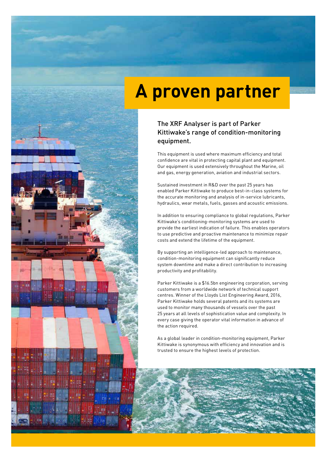## **A proven partner**

#### The XRF Analyser is part of Parker Kittiwake's range of condition-monitoring equipment.

This equipment is used where maximum efficiency and total confidence are vital in protecting capital plant and equipment. Our equipment is used extensively throughout the Marine, oil and gas, energy generation, aviation and industrial sectors.

Sustained investment in R&D over the past 25 years has enabled Parker Kittiwake to produce best-in-class systems for the accurate monitoring and analysis of in-service lubricants, hydraulics, wear metals, fuels, gasses and acoustic emissions.

In addition to ensuring compliance to global regulations, Parker Kittiwake's conditioning-monitoring systems are used to provide the earliest indication of failure. This enables operators to use predictive and proactive maintenance to minimize repair costs and extend the lifetime of the equipment.

By supporting an intelligence-led approach to maintenance, condition-monitoring equipment can significantly reduce system downtime and make a direct contribution to increasing productivity and profitability.

Parker Kittiwake is a \$16.5bn engineering corporation, serving customers from a worldwide network of technical support centres. Winner of the Lloyds List Engineering Award, 2016, Parker Kittiwake holds several patents and its systems are used to monitor many thousands of vessels over the past 25 years at all levels of sophistication value and complexity. In every case giving the operator vital information in advance of the action required.

As a global leader in condition-monitoring equipment, Parker Kittiwake is synonymous with efficiency and innovation and is trusted to ensure the highest levels of protection.